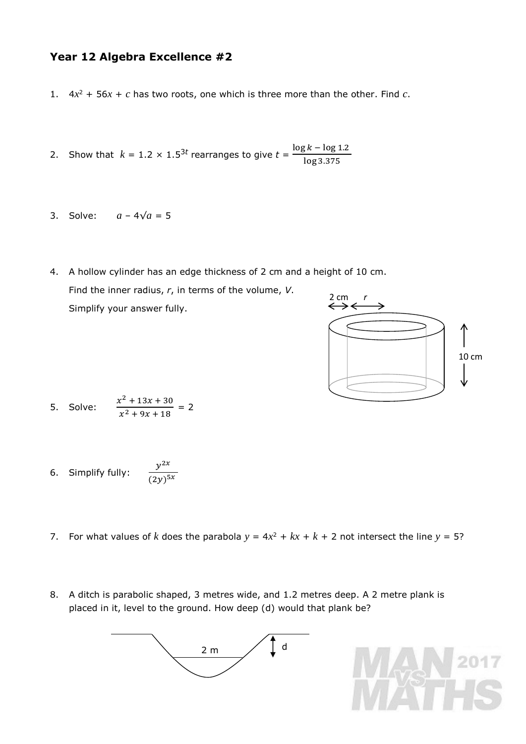## **Year 12 Algebra Excellence #2**

- 1.  $4x^2 + 56x + c$  has two roots, one which is three more than the other. Find *c*.
- 2. Show that  $k = 1.2 \times 1.5^{3t}$  rearranges to give  $t = \frac{\log k \log 1.2}{\log k}$ log 3.375
- 3. Solve:  $a 4\sqrt{a} = 5$
- 4. A hollow cylinder has an edge thickness of 2 cm and a height of 10 cm. Find the inner radius, *r*, in terms of the volume, *V*. Simplify your answer fully. 2 cm



5. Solve: 
$$
\frac{x^2 + 13x + 30}{x^2 + 9x + 18} = 2
$$

6. Simplify fully: 
$$
\frac{y^{2x}}{(2y)^{5x}}
$$

- 7. For what values of *k* does the parabola  $y = 4x^2 + kx + k + 2$  not intersect the line  $y = 5$ ?
- 8. A ditch is parabolic shaped, 3 metres wide, and 1.2 metres deep. A 2 metre plank is placed in it, level to the ground. How deep (d) would that plank be?



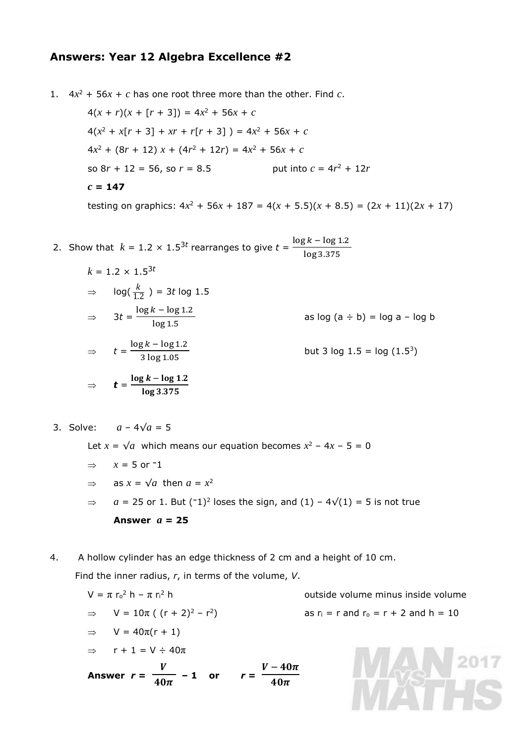## **Answers: Year 12 Algebra Excellence #2**

1.  $4x^2 + 56x + c$  has one root three more than the other. Find *c*.

 $4(x + r)(x + [r + 3]) = 4x^2 + 56x + c$  $4(x^2 + x[r + 3] + xr + r[r + 3]) = 4x^2 + 56x + c$  $4x^2 + (8r + 12) x + (4r^2 + 12r) = 4x^2 + 56x + c$ so  $8r + 12 = 56$ , so  $r = 8.5$ put into  $c = 4r^2 + 12r$ *c* **= 147**

testing on graphics:  $4x^2 + 56x + 187 = 4(x + 5.5)(x + 8.5) = (2x + 11)(2x + 17)$ 

2. Show that 
$$
k = 1.2 \times 1.5^{3t}
$$
 rearranges to give  $t = \frac{\log k - \log 1.2}{\log 3.375}$ 

$$
k = 1.2 \times 1.5^{3t}
$$
  
\n
$$
\Rightarrow \log(\frac{k}{1.2}) = 3t \log 1.5
$$
  
\n
$$
\Rightarrow 3t = \frac{\log k - \log 1.2}{\log 1.5}
$$
 as log (a ÷ b) = log a - log b  
\n
$$
\Rightarrow t = \frac{\log k - \log 1.2}{3 \log 1.05}
$$
 but 3 log 1.5 = log (1.5<sup>3</sup>)  
\n
$$
\Rightarrow t = \frac{\log k - \log 1.2}{\log 3.375}
$$

3. Solve: *a* – 4√*a* = 5

Let  $x = \sqrt{a}$  which means our equation becomes  $x^2 - 4x - 5 = 0$ 

$$
\Rightarrow x = 5 \text{ or } ^{-1}
$$

 $\Rightarrow$  as  $x = \sqrt{a}$  then  $a = x^2$ 

 $\Rightarrow$  *a* = 25 or 1. But (<sup>−1</sup>)<sup>2</sup> loses the sign, and (1) – 4 $\sqrt{(1)}$  = 5 is not true **Answer** *a* **= 25**

4. A hollow cylinder has an edge thickness of 2 cm and a height of 10 cm.

Find the inner radius, *r*, in terms of the volume, *V*.

$$
V = \pi r_0^2 h - \pi r_1^2 h
$$
 outside volume minus inside volume  
\n
$$
\Rightarrow V = 10\pi ( (r + 2)^2 - r^2)
$$
 as  $r_1 = r$  and  $r_0 = r + 2$  and  $h = 10$   
\n
$$
\Rightarrow V = 40\pi (r + 1)
$$
  
\n
$$
\Rightarrow r + 1 = V \div 40\pi
$$
  
\nAnswer  $r = \frac{V}{40\pi} - 1$  or  $r = \frac{V - 40\pi}{40\pi}$